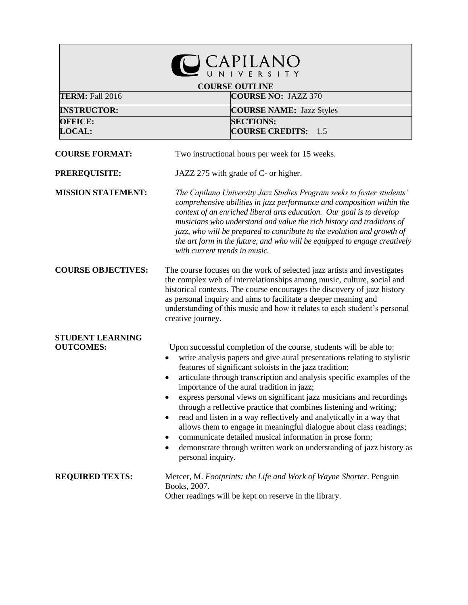| <b>COURSE OUTLINE</b><br>TERM: Fall 2016<br><b>COURSE NO: JAZZ 370</b> |                                                                                                                                                                                                                                                                                                                                                                                                                                                                                                                                                                                                                                                                                                                                                                                                                                           |  |  |
|------------------------------------------------------------------------|-------------------------------------------------------------------------------------------------------------------------------------------------------------------------------------------------------------------------------------------------------------------------------------------------------------------------------------------------------------------------------------------------------------------------------------------------------------------------------------------------------------------------------------------------------------------------------------------------------------------------------------------------------------------------------------------------------------------------------------------------------------------------------------------------------------------------------------------|--|--|
| <b>INSTRUCTOR:</b>                                                     | <b>COURSE NAME: Jazz Styles</b>                                                                                                                                                                                                                                                                                                                                                                                                                                                                                                                                                                                                                                                                                                                                                                                                           |  |  |
| <b>OFFICE:</b><br><b>LOCAL:</b>                                        | <b>SECTIONS:</b><br><b>COURSE CREDITS: 1.5</b>                                                                                                                                                                                                                                                                                                                                                                                                                                                                                                                                                                                                                                                                                                                                                                                            |  |  |
| <b>COURSE FORMAT:</b>                                                  | Two instructional hours per week for 15 weeks.                                                                                                                                                                                                                                                                                                                                                                                                                                                                                                                                                                                                                                                                                                                                                                                            |  |  |
| PREREQUISITE:                                                          | JAZZ 275 with grade of C- or higher.                                                                                                                                                                                                                                                                                                                                                                                                                                                                                                                                                                                                                                                                                                                                                                                                      |  |  |
| <b>MISSION STATEMENT:</b>                                              | The Capilano University Jazz Studies Program seeks to foster students'<br>comprehensive abilities in jazz performance and composition within the<br>context of an enriched liberal arts education. Our goal is to develop<br>musicians who understand and value the rich history and traditions of<br>jazz, who will be prepared to contribute to the evolution and growth of<br>the art form in the future, and who will be equipped to engage creatively<br>with current trends in music.                                                                                                                                                                                                                                                                                                                                               |  |  |
| <b>COURSE OBJECTIVES:</b>                                              | The course focuses on the work of selected jazz artists and investigates<br>the complex web of interrelationships among music, culture, social and<br>historical contexts. The course encourages the discovery of jazz history<br>as personal inquiry and aims to facilitate a deeper meaning and<br>understanding of this music and how it relates to each student's personal<br>creative journey.                                                                                                                                                                                                                                                                                                                                                                                                                                       |  |  |
| <b>STUDENT LEARNING</b><br><b>OUTCOMES:</b>                            | Upon successful completion of the course, students will be able to:<br>write analysis papers and give aural presentations relating to stylistic<br>features of significant soloists in the jazz tradition;<br>articulate through transcription and analysis specific examples of the<br>importance of the aural tradition in jazz;<br>express personal views on significant jazz musicians and recordings<br>$\bullet$<br>through a reflective practice that combines listening and writing;<br>read and listen in a way reflectively and analytically in a way that<br>$\bullet$<br>allows them to engage in meaningful dialogue about class readings;<br>communicate detailed musical information in prose form;<br>$\bullet$<br>demonstrate through written work an understanding of jazz history as<br>$\bullet$<br>personal inquiry. |  |  |
| <b>REQUIRED TEXTS:</b>                                                 | Mercer, M. Footprints: the Life and Work of Wayne Shorter. Penguin<br>Books, 2007.<br>Other readings will be kept on reserve in the library.                                                                                                                                                                                                                                                                                                                                                                                                                                                                                                                                                                                                                                                                                              |  |  |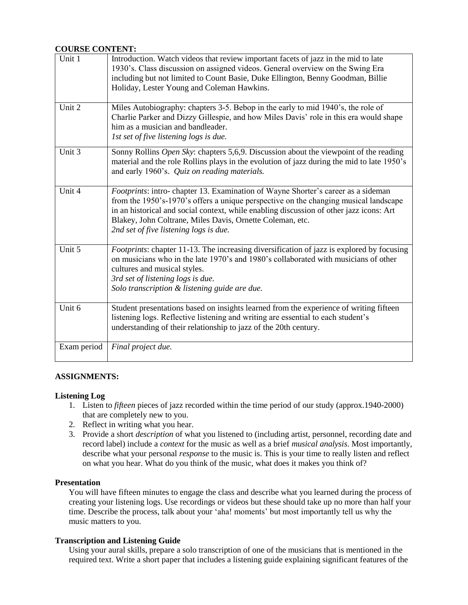## **COURSE CONTENT:**

| Unit 1      | Introduction. Watch videos that review important facets of jazz in the mid to late<br>1930's. Class discussion on assigned videos. General overview on the Swing Era<br>including but not limited to Count Basie, Duke Ellington, Benny Goodman, Billie<br>Holiday, Lester Young and Coleman Hawkins.                                                                      |
|-------------|----------------------------------------------------------------------------------------------------------------------------------------------------------------------------------------------------------------------------------------------------------------------------------------------------------------------------------------------------------------------------|
| Unit 2      | Miles Autobiography: chapters 3-5. Bebop in the early to mid 1940's, the role of<br>Charlie Parker and Dizzy Gillespie, and how Miles Davis' role in this era would shape<br>him as a musician and bandleader.<br>1st set of five listening logs is due.                                                                                                                   |
| Unit 3      | Sonny Rollins Open Sky: chapters 5,6,9. Discussion about the viewpoint of the reading<br>material and the role Rollins plays in the evolution of jazz during the mid to late 1950's<br>and early 1960's. Quiz on reading materials.                                                                                                                                        |
| Unit 4      | Footprints: intro-chapter 13. Examination of Wayne Shorter's career as a sideman<br>from the 1950's-1970's offers a unique perspective on the changing musical landscape<br>in an historical and social context, while enabling discussion of other jazz icons: Art<br>Blakey, John Coltrane, Miles Davis, Ornette Coleman, etc.<br>2nd set of five listening logs is due. |
| Unit 5      | Footprints: chapter 11-13. The increasing diversification of jazz is explored by focusing<br>on musicians who in the late 1970's and 1980's collaborated with musicians of other<br>cultures and musical styles.<br>3rd set of listening logs is due.<br>Solo transcription & listening guide are due.                                                                     |
| Unit 6      | Student presentations based on insights learned from the experience of writing fifteen<br>listening logs. Reflective listening and writing are essential to each student's<br>understanding of their relationship to jazz of the 20th century.                                                                                                                             |
| Exam period | Final project due.                                                                                                                                                                                                                                                                                                                                                         |

#### **ASSIGNMENTS:**

#### **Listening Log**

- 1. Listen to *fifteen* pieces of jazz recorded within the time period of our study (approx.1940-2000) that are completely new to you.
- 2. Reflect in writing what you hear.
- 3. Provide a short *description* of what you listened to (including artist, personnel, recording date and record label) include a *context* for the music as well as a brief *musical analysis*. Most importantly, describe what your personal *response* to the music is. This is your time to really listen and reflect on what you hear. What do you think of the music, what does it makes you think of?

#### **Presentation**

You will have fifteen minutes to engage the class and describe what you learned during the process of creating your listening logs. Use recordings or videos but these should take up no more than half your time. Describe the process, talk about your 'aha! moments' but most importantly tell us why the music matters to you.

#### **Transcription and Listening Guide**

Using your aural skills, prepare a solo transcription of one of the musicians that is mentioned in the required text. Write a short paper that includes a listening guide explaining significant features of the